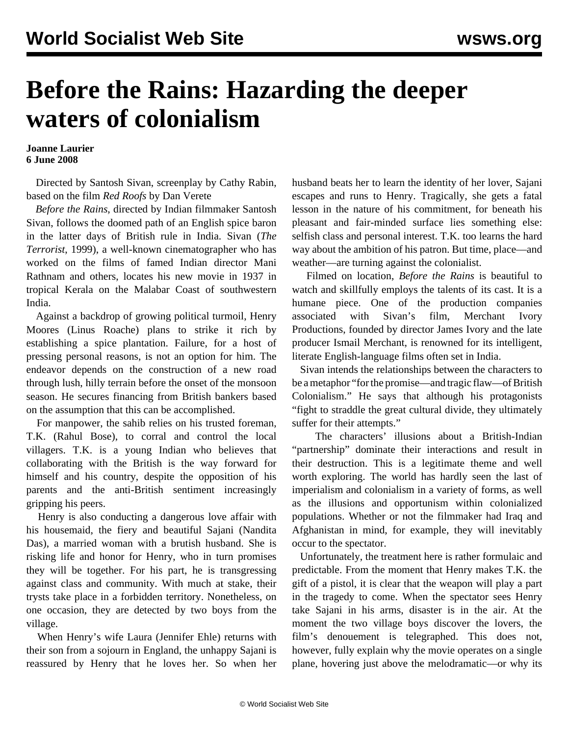## **Before the Rains: Hazarding the deeper waters of colonialism**

## **Joanne Laurier 6 June 2008**

 Directed by Santosh Sivan, screenplay by Cathy Rabin, based on the film *Red Roofs* by Dan Verete

 *Before the Rains*, directed by Indian filmmaker Santosh Sivan, follows the doomed path of an English spice baron in the latter days of British rule in India. Sivan (*The Terrorist*, 1999), a well-known cinematographer who has worked on the films of famed Indian director Mani Rathnam and others, locates his new movie in 1937 in tropical Kerala on the Malabar Coast of southwestern India.

 Against a backdrop of growing political turmoil, Henry Moores (Linus Roache) plans to strike it rich by establishing a spice plantation. Failure, for a host of pressing personal reasons, is not an option for him. The endeavor depends on the construction of a new road through lush, hilly terrain before the onset of the monsoon season. He secures financing from British bankers based on the assumption that this can be accomplished.

 For manpower, the sahib relies on his trusted foreman, T.K. (Rahul Bose), to corral and control the local villagers. T.K. is a young Indian who believes that collaborating with the British is the way forward for himself and his country, despite the opposition of his parents and the anti-British sentiment increasingly gripping his peers.

 Henry is also conducting a dangerous love affair with his housemaid, the fiery and beautiful Sajani (Nandita Das), a married woman with a brutish husband. She is risking life and honor for Henry, who in turn promises they will be together. For his part, he is transgressing against class and community. With much at stake, their trysts take place in a forbidden territory. Nonetheless, on one occasion, they are detected by two boys from the village.

 When Henry's wife Laura (Jennifer Ehle) returns with their son from a sojourn in England, the unhappy Sajani is reassured by Henry that he loves her. So when her husband beats her to learn the identity of her lover, Sajani escapes and runs to Henry. Tragically, she gets a fatal lesson in the nature of his commitment, for beneath his pleasant and fair-minded surface lies something else: selfish class and personal interest. T.K. too learns the hard way about the ambition of his patron. But time, place—and weather—are turning against the colonialist.

 Filmed on location, *Before the Rains* is beautiful to watch and skillfully employs the talents of its cast. It is a humane piece. One of the production companies associated with Sivan's film, Merchant Ivory Productions, founded by director James Ivory and the late producer Ismail Merchant, is renowned for its intelligent, literate English-language films often set in India.

 Sivan intends the relationships between the characters to be a metaphor "for the promise—and tragic flaw—of British Colonialism." He says that although his protagonists "fight to straddle the great cultural divide, they ultimately suffer for their attempts."

 The characters' illusions about a British-Indian "partnership" dominate their interactions and result in their destruction. This is a legitimate theme and well worth exploring. The world has hardly seen the last of imperialism and colonialism in a variety of forms, as well as the illusions and opportunism within colonialized populations. Whether or not the filmmaker had Iraq and Afghanistan in mind, for example, they will inevitably occur to the spectator.

 Unfortunately, the treatment here is rather formulaic and predictable. From the moment that Henry makes T.K. the gift of a pistol, it is clear that the weapon will play a part in the tragedy to come. When the spectator sees Henry take Sajani in his arms, disaster is in the air. At the moment the two village boys discover the lovers, the film's denouement is telegraphed. This does not, however, fully explain why the movie operates on a single plane, hovering just above the melodramatic—or why its